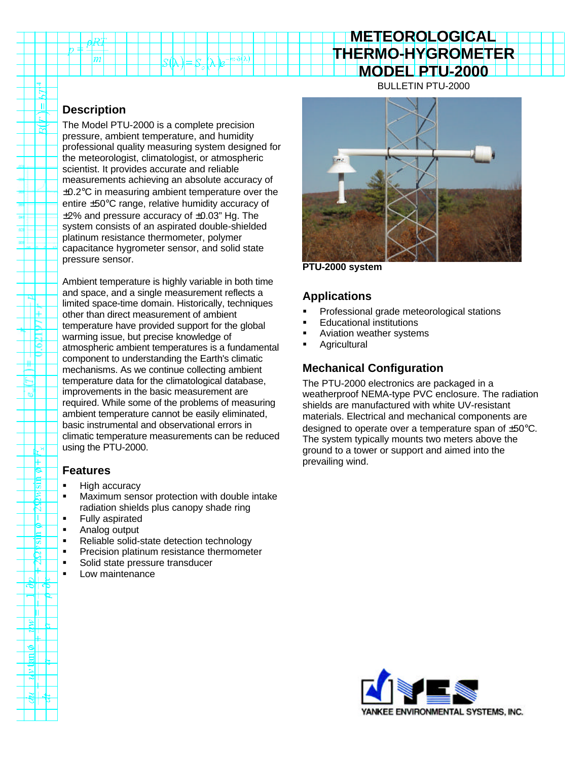# **METEOROLOGICAL THERMO-HYGROMETER MODEL PTU-2000**

#### BULLETIN PTU-2000

## **Description**

R пl

ੱਜ

ΙF

 $\overline{\phantom{a}}$ 

⊬ ဇ 惕

2 H.

5 Ċ.  $\blacktriangledown$   $|m$ 

The Model PTU-2000 is a complete precision pressure, ambient temperature, and humidity professional quality measuring system designed for the meteorologist, climatologist, or atmospheric scientist. It provides accurate and reliable measurements achieving an absolute accuracy of  $\pm$ 0.2 $\rm{°C}$  in measuring ambient temperature over the entire ±50°C range, relative humidity accuracy of  $\pm$ 2% and pressure accuracy of  $\pm$ 0.03" Hg. The system consists of an aspirated double-shielded platinum resistance thermometer, polymer capacitance hygrometer sensor, and solid state pressure sensor.

Ambient temperature is highly variable in both time and space, and a single measurement reflects a limited space-time domain. Historically, techniques other than direct measurement of ambient temperature have provided support for the global warming issue, but precise knowledge of atmospheric ambient temperatures is a fundamental component to understanding the Earth's climatic mechanisms. As we continue collecting ambient temperature data for the climatological database, improvements in the basic measurement are required. While some of the problems of measuring ambient temperature cannot be easily eliminated, basic instrumental and observational errors in climatic temperature measurements can be reduced using the PTU-2000.

### **Features**

- **High accuracy**
- **KET Maximum sensor protection with double intake** radiation shields plus canopy shade ring
- **Fully aspirated**
- Analog output
- Reliable solid-state detection technology
- **•** Precision platinum resistance thermometer
- **Solid state pressure transducer**
- **Low maintenance**



**PTU-2000 system**

### **Applications**

- ß Professional grade meteorological stations
- ß Educational institutions
- ß Aviation weather systems
- **Agricultural**

## **Mechanical Configuration**

The PTU-2000 electronics are packaged in a weatherproof NEMA-type PVC enclosure. The radiation shields are manufactured with white UV-resistant materials. Electrical and mechanical components are designed to operate over a temperature span of ±50°C. The system typically mounts two meters above the ground to a tower or support and aimed into the prevailing wind.

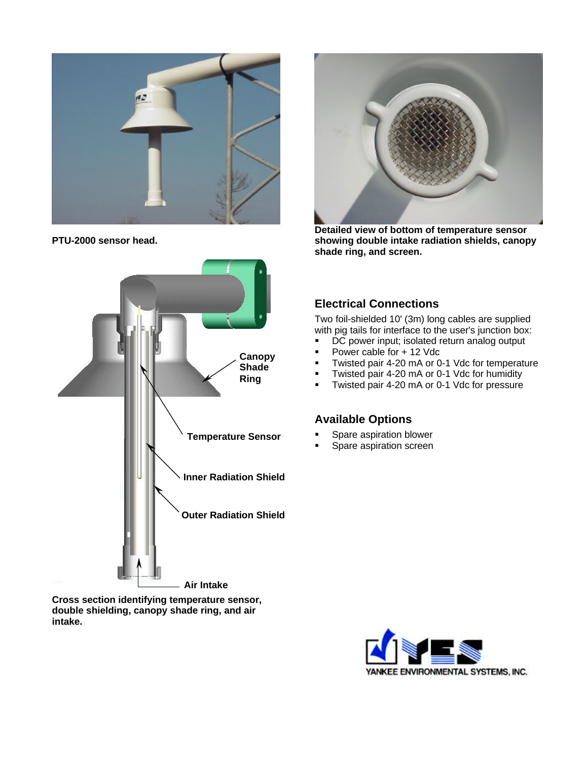

**PTU-2000 sensor head.**



**Cross section identifying temperature sensor, double shielding, canopy shade ring, and air intake.**



**Detailed view of bottom of temperature sensor showing double intake radiation shields, canopy shade ring, and screen.**

#### **Electrical Connections**

Two foil-shielded 10' (3m) long cables are supplied with pig tails for interface to the user's junction box:

- **•** DC power input; isolated return analog output
- ß Power cable for + 12 Vdc
- ß Twisted pair 4-20 mA or 0-1 Vdc for temperature
- ß Twisted pair 4-20 mA or 0-1 Vdc for humidity
- **Twisted pair 4-20 mA or 0-1 Vdc for pressure**

#### **Available Options**

- ß Spare aspiration blower
- ß Spare aspiration screen